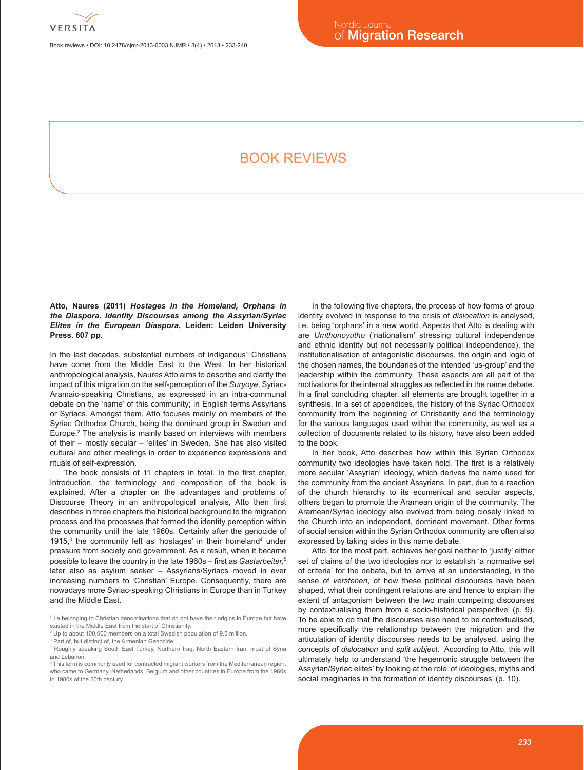

Book reviews • DOI: 10.2478/njmr-2013-0003 NJMR • 3(4) • 2013 • 233-240

# BOOK REVIEWS

**Atto, Naures (2011)** *Hostages in the Homeland, Orphans in the Diaspora. Identity Discourses among the Assyrian/Syriac Elites in the European Diaspora***, Leiden: Leiden University Press. 607 pp.**

In the last decades, substantial numbers of indigenous<sup>1</sup> Christians have come from the Middle East to the West. In her historical anthropological analysis, Naures Atto aims to describe and clarify the impact of this migration on the self-perception of the *Suryoye*, Syriac-Aramaic-speaking Christians, as expressed in an intra-communal debate on the 'name' of this community; in English terms Assyrians or Syriacs. Amongst them, Atto focuses mainly on members of the Syriac Orthodox Church, being the dominant group in Sweden and Europe.2 The analysis is mainly based on interviews with members of their – mostly secular – 'elites' in Sweden. She has also visited cultural and other meetings in order to experience expressions and rituals of self-expression.

The book consists of 11 chapters in total. In the first chapter, Introduction, the terminology and composition of the book is explained. After a chapter on the advantages and problems of Discourse Theory in an anthropological analysis, Atto then first describes in three chapters the historical background to the migration process and the processes that formed the identity perception within the community until the late 1960s. Certainly after the genocide of  $1915$ ,<sup>3</sup> the community felt as 'hostages' in their homeland<sup>4</sup> under pressure from society and government. As a result, when it became possible to leave the country in the late 1960s – first as *Gastarbeiter,5* later also as asylum seeker – Assyrians/Syriacs moved in ever increasing numbers to 'Christian' Europe. Consequently, there are nowadays more Syriac-speaking Christians in Europe than in Turkey and the Middle East.

In the following five chapters, the process of how forms of group identity evolved in response to the crisis of *dislocation* is analysed, i.e. being 'orphans' in a new world. Aspects that Atto is dealing with are *Umthonoyutho* ('nationalism' stressing cultural independence and ethnic identity but not necessarily political independence), the institutionalisation of antagonistic discourses, the origin and logic of the chosen names, the boundaries of the intended 'us-group' and the leadership within the community. These aspects are all part of the motivations for the internal struggles as reflected in the name debate. In a final concluding chapter, all elements are brought together in a synthesis. In a set of appendices, the history of the Syriac Orthodox community from the beginning of Christianity and the terminology for the various languages used within the community, as well as a collection of documents related to its history, have also been added to the book.

In her book, Atto describes how within this Syrian Orthodox community two ideologies have taken hold. The first is a relatively more secular 'Assyrian' ideology, which derives the name used for the community from the ancient Assyrians. In part, due to a reaction of the church hierarchy to its ecumenical and secular aspects, others began to promote the Aramean origin of the community. The Aramean/Syriac ideology also evolved from being closely linked to the Church into an independent, dominant movement. Other forms of social tension within the Syrian Orthodox community are often also expressed by taking sides in this name debate.

Atto, for the most part, achieves her goal neither to 'justify' either set of claims of the two ideologies nor to establish 'a normative set of criteria' for the debate, but to 'arrive at an understanding, in the sense of *verstehen*, of how these political discourses have been shaped, what their contingent relations are and hence to explain the extent of antagonism between the two main competing discourses by contextualising them from a socio-historical perspective' (p. 9). To be able to do that the discourses also need to be contextualised, more specifically the relationship between the migration and the articulation of identity discourses needs to be analysed, using the concepts of *dislocation* and *split subject*. According to Atto, this will ultimately help to understand 'the hegemonic struggle between the Assyrian/Syriac elites' by looking at the role 'of ideologies, myths and social imaginaries in the formation of identity discourses' (p. 10).

<sup>1</sup> I.e belonging to Christian denominations that do not have their origins in Europe but have existed in the Middle East from the start of Christianity.

<sup>&</sup>lt;sup>2</sup> Up to about 100,000 members on a total Swedish population of 9.5 million.

<sup>&</sup>lt;sup>3</sup> Part of, but distinct of, the Armenian Genocide.

<sup>4</sup> Roughly speaking South East Turkey, Northern Iraq, North Eastern Iran, most of Syria and Lebanon.

<sup>&</sup>lt;sup>5</sup> This term is commonly used for contracted migrant workers from the Mediterranean region who came to Germany, Netherlands, Belgium and other countries in Europe from the 1960s to 1980s of the 20th century.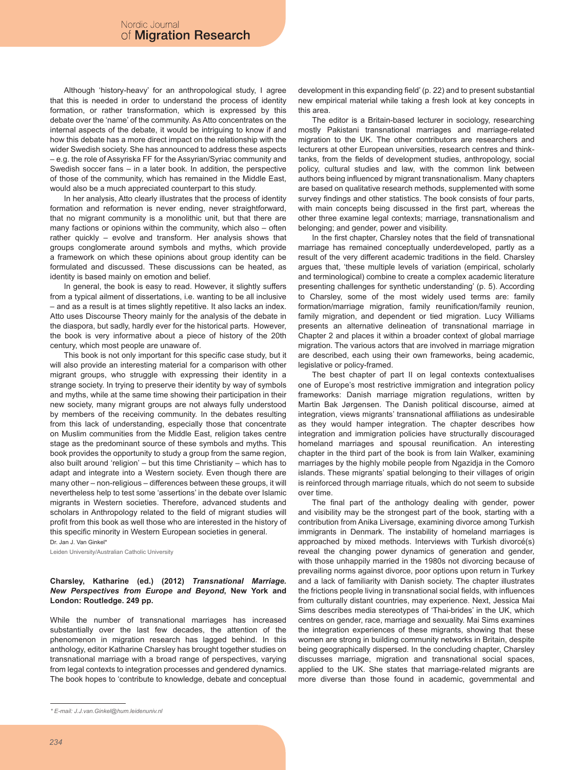Although 'history-heavy' for an anthropological study, I agree that this is needed in order to understand the process of identity formation, or rather transformation, which is expressed by this debate over the 'name' of the community. As Atto concentrates on the internal aspects of the debate, it would be intriguing to know if and how this debate has a more direct impact on the relationship with the wider Swedish society. She has announced to address these aspects – e.g. the role of Assyriska FF for the Assyrian/Syriac community and Swedish soccer fans – in a later book. In addition, the perspective of those of the community, which has remained in the Middle East, would also be a much appreciated counterpart to this study.

In her analysis, Atto clearly illustrates that the process of identity formation and reformation is never ending, never straightforward, that no migrant community is a monolithic unit, but that there are many factions or opinions within the community, which also – often rather quickly – evolve and transform. Her analysis shows that groups conglomerate around symbols and myths, which provide a framework on which these opinions about group identity can be formulated and discussed. These discussions can be heated, as identity is based mainly on emotion and belief.

In general, the book is easy to read. However, it slightly suffers from a typical ailment of dissertations, i.e. wanting to be all inclusive – and as a result is at times slightly repetitive. It also lacks an index. Atto uses Discourse Theory mainly for the analysis of the debate in the diaspora, but sadly, hardly ever for the historical parts. However, the book is very informative about a piece of history of the 20th century, which most people are unaware of.

This book is not only important for this specific case study, but it will also provide an interesting material for a comparison with other migrant groups, who struggle with expressing their identity in a strange society. In trying to preserve their identity by way of symbols and myths, while at the same time showing their participation in their new society, many migrant groups are not always fully understood by members of the receiving community. In the debates resulting from this lack of understanding, especially those that concentrate on Muslim communities from the Middle East, religion takes centre stage as the predominant source of these symbols and myths. This book provides the opportunity to study a group from the same region, also built around 'religion' – but this time Christianity – which has to adapt and integrate into a Western society. Even though there are many other – non-religious – differences between these groups, it will nevertheless help to test some 'assertions' in the debate over Islamic migrants in Western societies. Therefore, advanced students and scholars in Anthropology related to the field of migrant studies will profit from this book as well those who are interested in the history of this specific minority in Western European societies in general.

Dr. Jan J. Van Ginkel\*

Leiden University/Australian Catholic University

## **Charsley, Katharine (ed.) (2012)** *Transnational Marriage. New Perspectives from Europe and Beyond***, New York and London: Routledge. 249 pp.**

While the number of transnational marriages has increased substantially over the last few decades, the attention of the phenomenon in migration research has lagged behind. In this anthology, editor Katharine Charsley has brought together studies on transnational marriage with a broad range of perspectives, varying from legal contexts to integration processes and gendered dynamics. The book hopes to 'contribute to knowledge, debate and conceptual

development in this expanding field' (p. 22) and to present substantial new empirical material while taking a fresh look at key concepts in this area.

The editor is a Britain-based lecturer in sociology, researching mostly Pakistani transnational marriages and marriage-related migration to the UK. The other contributors are researchers and lecturers at other European universities, research centres and thinktanks, from the fields of development studies, anthropology, social policy, cultural studies and law, with the common link between authors being influenced by migrant transnationalism. Many chapters are based on qualitative research methods, supplemented with some survey findings and other statistics. The book consists of four parts, with main concepts being discussed in the first part, whereas the other three examine legal contexts; marriage, transnationalism and belonging; and gender, power and visibility.

In the first chapter, Charsley notes that the field of transnational marriage has remained conceptually underdeveloped, partly as a result of the very different academic traditions in the field. Charsley argues that, 'these multiple levels of variation (empirical, scholarly and terminological) combine to create a complex academic literature presenting challenges for synthetic understanding' (p. 5). According to Charsley, some of the most widely used terms are: family formation/marriage migration, family reunification/family reunion, family migration, and dependent or tied migration. Lucy Williams presents an alternative delineation of transnational marriage in Chapter 2 and places it within a broader context of global marriage migration. The various actors that are involved in marriage migration are described, each using their own frameworks, being academic, legislative or policy-framed.

The best chapter of part II on legal contexts contextualises one of Europe's most restrictive immigration and integration policy frameworks: Danish marriage migration regulations, written by Martin Bak Jørgensen. The Danish political discourse, aimed at integration, views migrants' transnational affiliations as undesirable as they would hamper integration. The chapter describes how integration and immigration policies have structurally discouraged homeland marriages and spousal reunification. An interesting chapter in the third part of the book is from Iain Walker, examining marriages by the highly mobile people from Ngazidja in the Comoro islands. These migrants' spatial belonging to their villages of origin is reinforced through marriage rituals, which do not seem to subside over time.

The final part of the anthology dealing with gender, power and visibility may be the strongest part of the book, starting with a contribution from Anika Liversage, examining divorce among Turkish immigrants in Denmark. The instability of homeland marriages is approached by mixed methods. Interviews with Turkish divorcé(s) reveal the changing power dynamics of generation and gender, with those unhappily married in the 1980s not divorcing because of prevailing norms against divorce, poor options upon return in Turkey and a lack of familiarity with Danish society. The chapter illustrates the frictions people living in transnational social fields, with influences from culturally distant countries, may experience. Next, Jessica Mai Sims describes media stereotypes of 'Thai-brides' in the UK, which centres on gender, race, marriage and sexuality. Mai Sims examines the integration experiences of these migrants, showing that these women are strong in building community networks in Britain, despite being geographically dispersed. In the concluding chapter, Charsley discusses marriage, migration and transnational social spaces, applied to the UK. She states that marriage-related migrants are more diverse than those found in academic, governmental and

*<sup>\*</sup> E-mail: J.J.van.Ginkel@hum.leidenuniv.nl*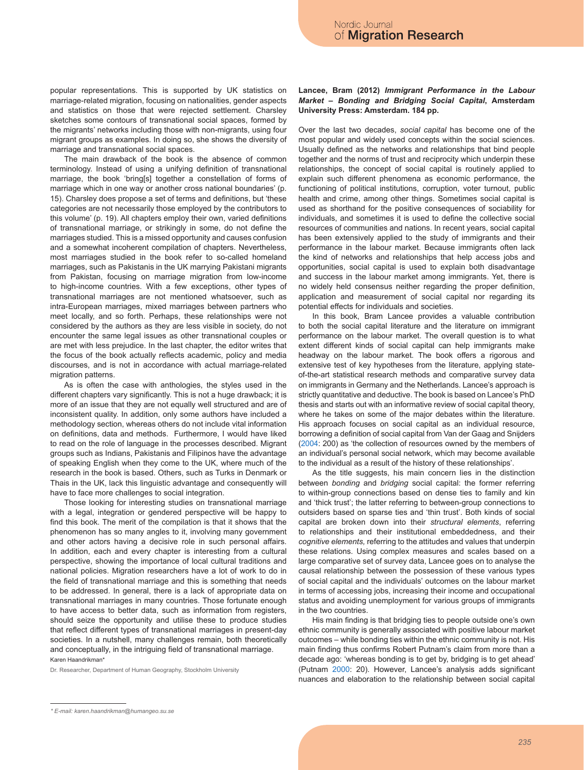popular representations. This is supported by UK statistics on marriage-related migration, focusing on nationalities, gender aspects and statistics on those that were rejected settlement. Charsley sketches some contours of transnational social spaces, formed by the migrants' networks including those with non-migrants, using four migrant groups as examples. In doing so, she shows the diversity of marriage and transnational social spaces.

The main drawback of the book is the absence of common terminology. Instead of using a unifying definition of transnational marriage, the book 'bring[s] together a constellation of forms of marriage which in one way or another cross national boundaries' (p. 15). Charsley does propose a set of terms and definitions, but 'these categories are not necessarily those employed by the contributors to this volume' (p. 19). All chapters employ their own, varied definitions of transnational marriage, or strikingly in some, do not define the marriages studied. This is a missed opportunity and causes confusion and a somewhat incoherent compilation of chapters. Nevertheless, most marriages studied in the book refer to so-called homeland marriages, such as Pakistanis in the UK marrying Pakistani migrants from Pakistan, focusing on marriage migration from low-income to high-income countries. With a few exceptions, other types of transnational marriages are not mentioned whatsoever, such as intra-European marriages, mixed marriages between partners who meet locally, and so forth. Perhaps, these relationships were not considered by the authors as they are less visible in society, do not encounter the same legal issues as other transnational couples or are met with less prejudice. In the last chapter, the editor writes that the focus of the book actually reflects academic, policy and media discourses, and is not in accordance with actual marriage-related migration patterns.

As is often the case with anthologies, the styles used in the different chapters vary significantly. This is not a huge drawback; it is more of an issue that they are not equally well structured and are of inconsistent quality. In addition, only some authors have included a methodology section, whereas others do not include vital information on definitions, data and methods. Furthermore, I would have liked to read on the role of language in the processes described. Migrant groups such as Indians, Pakistanis and Filipinos have the advantage of speaking English when they come to the UK, where much of the research in the book is based. Others, such as Turks in Denmark or Thais in the UK, lack this linguistic advantage and consequently will have to face more challenges to social integration.

Those looking for interesting studies on transnational marriage with a legal, integration or gendered perspective will be happy to find this book. The merit of the compilation is that it shows that the phenomenon has so many angles to it, involving many government and other actors having a decisive role in such personal affairs. In addition, each and every chapter is interesting from a cultural perspective, showing the importance of local cultural traditions and national policies. Migration researchers have a lot of work to do in the field of transnational marriage and this is something that needs to be addressed. In general, there is a lack of appropriate data on transnational marriages in many countries. Those fortunate enough to have access to better data, such as information from registers, should seize the opportunity and utilise these to produce studies that reflect different types of transnational marriages in present-day societies. In a nutshell, many challenges remain, both theoretically and conceptually, in the intriguing field of transnational marriage. Karen Haandrikman\*

Dr. Researcher, Department of Human Geography, Stockholm University

# **Lancee, Bram (2012)** *Immigrant Performance in the Labour Market – Bonding and Bridging Social Capital***, Amsterdam University Press: Amsterdam. 184 pp.**

Over the last two decades, *social capital* has become one of the most popular and widely used concepts within the social sciences. Usually defined as the networks and relationships that bind people together and the norms of trust and reciprocity which underpin these relationships, the concept of social capital is routinely applied to explain such different phenomena as economic performance, the functioning of political institutions, corruption, voter turnout, public health and crime, among other things. Sometimes social capital is used as shorthand for the positive consequences of sociability for individuals, and sometimes it is used to define the collective social resources of communities and nations. In recent years, social capital has been extensively applied to the study of immigrants and their performance in the labour market. Because immigrants often lack the kind of networks and relationships that help access jobs and opportunities, social capital is used to explain both disadvantage and success in the labour market among immigrants. Yet, there is no widely held consensus neither regarding the proper definition, application and measurement of social capital nor regarding its potential effects for individuals and societies.

In this book, Bram Lancee provides a valuable contribution to both the social capital literature and the literature on immigrant performance on the labour market. The overall question is to what extent different kinds of social capital can help immigrants make headway on the labour market. The book offers a rigorous and extensive test of key hypotheses from the literature, applying stateof-the-art statistical research methods and comparative survey data on immigrants in Germany and the Netherlands. Lancee's approach is strictly quantitative and deductive. The book is based on Lancee's PhD thesis and starts out with an informative review of social capital theory, where he takes on some of the major debates within the literature. His approach focuses on social capital as an individual resource, borrowing a definition of social capital from Van der Gaag and Snijders (2004: 200) as 'the collection of resources owned by the members of an individual's personal social network, which may become available to the individual as a result of the history of these relationships'.

As the title suggests, his main concern lies in the distinction between *bonding* and *bridging* social capital: the former referring to within-group connections based on dense ties to family and kin and 'thick trust'; the latter referring to between-group connections to outsiders based on sparse ties and 'thin trust'. Both kinds of social capital are broken down into their *structural elements*, referring to relationships and their institutional embeddedness, and their *cognitive elements,* referring to the attitudes and values that underpin these relations. Using complex measures and scales based on a large comparative set of survey data, Lancee goes on to analyse the causal relationship between the possession of these various types of social capital and the individuals' outcomes on the labour market in terms of accessing jobs, increasing their income and occupational status and avoiding unemployment for various groups of immigrants in the two countries.

His main finding is that bridging ties to people outside one's own ethnic community is generally associated with positive labour market outcomes – while bonding ties within the ethnic community is not. His main finding thus confirms Robert Putnam's claim from more than a decade ago: 'whereas bonding is to get by, bridging is to get ahead' (Putnam 2000: 20). However, Lancee's analysis adds significant nuances and elaboration to the relationship between social capital

*<sup>\*</sup> E-mail: karen.haandrikman@humangeo.su.se*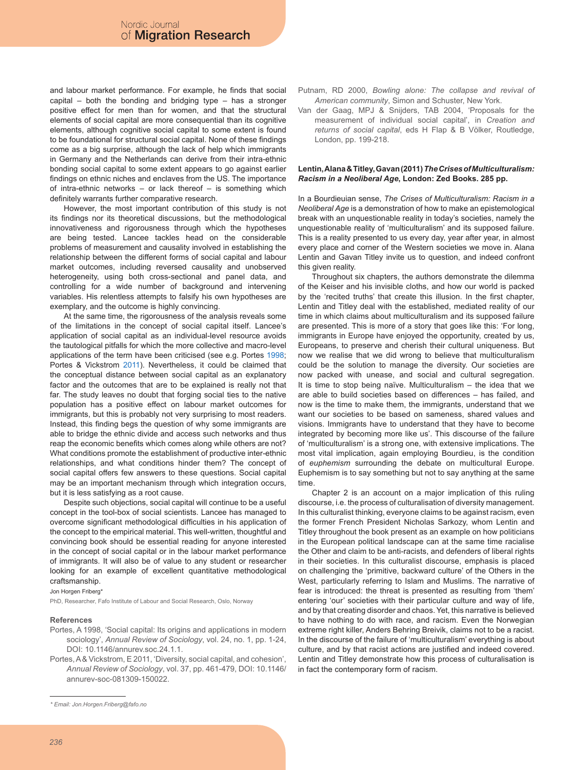and labour market performance. For example, he finds that social capital – both the bonding and bridging type – has a stronger positive effect for men than for women, and that the structural elements of social capital are more consequential than its cognitive elements, although cognitive social capital to some extent is found to be foundational for structural social capital. None of these findings come as a big surprise, although the lack of help which immigrants in Germany and the Netherlands can derive from their intra-ethnic bonding social capital to some extent appears to go against earlier findings on ethnic niches and enclaves from the US. The importance of intra-ethnic networks – or lack thereof – is something which definitely warrants further comparative research.

However, the most important contribution of this study is not its findings nor its theoretical discussions, but the methodological innovativeness and rigorousness through which the hypotheses are being tested. Lancee tackles head on the considerable problems of measurement and causality involved in establishing the relationship between the different forms of social capital and labour market outcomes, including reversed causality and unobserved heterogeneity, using both cross-sectional and panel data, and controlling for a wide number of background and intervening variables. His relentless attempts to falsify his own hypotheses are exemplary, and the outcome is highly convincing.

At the same time, the rigorousness of the analysis reveals some of the limitations in the concept of social capital itself. Lancee's application of social capital as an individual-level resource avoids the tautological pitfalls for which the more collective and macro-level applications of the term have been criticised (see e.g. Portes 1998; Portes & Vickstrom 2011). Nevertheless, it could be claimed that the conceptual distance between social capital as an explanatory factor and the outcomes that are to be explained is really not that far. The study leaves no doubt that forging social ties to the native population has a positive effect on labour market outcomes for immigrants, but this is probably not very surprising to most readers. Instead, this finding begs the question of why some immigrants are able to bridge the ethnic divide and access such networks and thus reap the economic benefits which comes along while others are not? What conditions promote the establishment of productive inter-ethnic relationships, and what conditions hinder them? The concept of social capital offers few answers to these questions. Social capital may be an important mechanism through which integration occurs, but it is less satisfying as a root cause.

Despite such objections, social capital will continue to be a useful concept in the tool-box of social scientists. Lancee has managed to overcome significant methodological difficulties in his application of the concept to the empirical material. This well-written, thoughtful and convincing book should be essential reading for anyone interested in the concept of social capital or in the labour market performance of immigrants. It will also be of value to any student or researcher looking for an example of excellent quantitative methodological craftsmanship.

#### Jon Horgen Friberg

PhD, Researcher, Fafo Institute of Labour and Social Research, Oslo, Norway

#### **References**

- Portes, A 1998, 'Social capital: Its origins and applications in modern sociology', *Annual Review of Sociology*, vol. 24, no. 1, pp. 1-24, DOI: 10.1146/annurev.soc.24.1.1.
- Portes, A & Vickstrom, E 2011, 'Diversity, social capital, and cohesion', *Annual Review of Sociology*, vol. 37, pp. 461-479, DOI: 10.1146/ annurev-soc-081309-150022.
- Putnam, RD 2000, *Bowling alone: The collapse and revival of American community*, Simon and Schuster, New York.
- Van der Gaag, MPJ & Snijders, TAB 2004, 'Proposals for the measurement of individual social capital', in *Creation and returns of social capital*, eds H Flap & B Völker, Routledge, London, pp. 199-218.

## **Lentin, Alana & Titley, Gavan (2011)** *The Crises of Multiculturalism: Racism in a Neoliberal Age***, London: Zed Books. 285 pp.**

In a Bourdieuian sense, *The Crises of Multiculturalism: Racism in a Neoliberal Age* is a demonstration of how to make an epistemological break with an unquestionable reality in today's societies, namely the unquestionable reality of 'multiculturalism' and its supposed failure. This is a reality presented to us every day, year after year, in almost every place and corner of the Western societies we move in. Alana Lentin and Gavan Titley invite us to question, and indeed confront this given reality.

Throughout six chapters, the authors demonstrate the dilemma of the Keiser and his invisible cloths, and how our world is packed by the 'recited truths' that create this illusion. In the first chapter, Lentin and Titley deal with the established, mediated reality of our time in which claims about multiculturalism and its supposed failure are presented. This is more of a story that goes like this: 'For long, immigrants in Europe have enjoyed the opportunity, created by us, Europeans, to preserve and cherish their cultural uniqueness. But now we realise that we did wrong to believe that multiculturalism could be the solution to manage the diversity. Our societies are now packed with unease, and social and cultural segregation. It is time to stop being naïve. Multiculturalism – the idea that we are able to build societies based on differences – has failed, and now is the time to make them, the immigrants, understand that we want our societies to be based on sameness, shared values and visions. Immigrants have to understand that they have to become integrated by becoming more like us'. This discourse of the failure of 'multiculturalism' is a strong one, with extensive implications. The most vital implication, again employing Bourdieu, is the condition of *euphemism* surrounding the debate on multicultural Europe. Euphemism is to say something but not to say anything at the same time.

Chapter 2 is an account on a major implication of this ruling discourse, i.e. the process of culturalisation of diversity management. In this culturalist thinking, everyone claims to be against racism, even the former French President Nicholas Sarkozy, whom Lentin and Titley throughout the book present as an example on how politicians in the European political landscape can at the same time racialise the Other and claim to be anti-racists, and defenders of liberal rights in their societies. In this culturalist discourse, emphasis is placed on challenging the 'primitive, backward culture' of the Others in the West, particularly referring to Islam and Muslims. The narrative of fear is introduced: the threat is presented as resulting from 'them' entering 'our' societies with their particular culture and way of life, and by that creating disorder and chaos. Yet, this narrative is believed to have nothing to do with race, and racism. Even the Norwegian extreme right killer, Anders Behring Breivik, claims not to be a racist. In the discourse of the failure of 'multiculturalism' everything is about culture, and by that racist actions are justified and indeed covered. Lentin and Titley demonstrate how this process of culturalisation is in fact the contemporary form of racism.

*<sup>\*</sup> Email: Jon.Horgen.Friberg@fafo.no*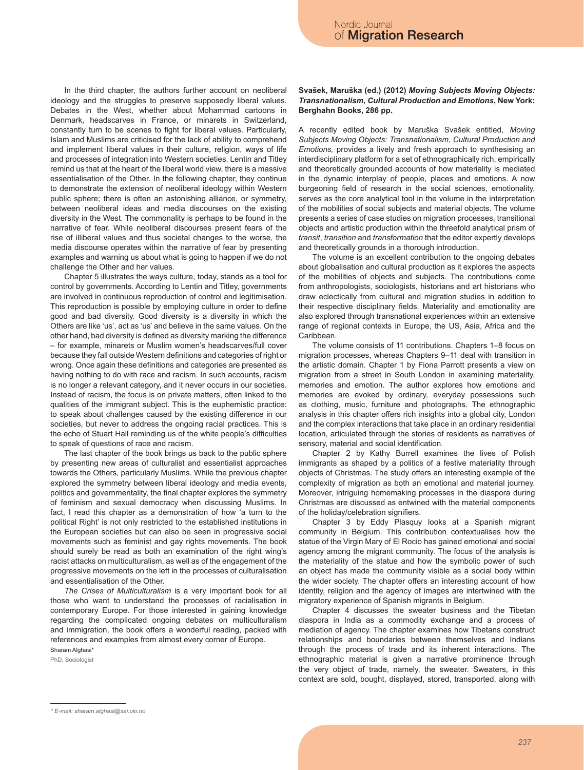In the third chapter, the authors further account on neoliberal ideology and the struggles to preserve supposedly liberal values. Debates in the West, whether about Mohammad cartoons in Denmark, headscarves in France, or minarets in Switzerland, constantly turn to be scenes to fight for liberal values. Particularly, Islam and Muslims are criticised for the lack of ability to comprehend and implement liberal values in their culture, religion, ways of life and processes of integration into Western societies. Lentin and Titley remind us that at the heart of the liberal world view, there is a massive essentialisation of the Other. In the following chapter, they continue to demonstrate the extension of neoliberal ideology within Western public sphere; there is often an astonishing alliance, or symmetry, between neoliberal ideas and media discourses on the existing diversity in the West. The commonality is perhaps to be found in the narrative of fear. While neoliberal discourses present fears of the rise of illiberal values and thus societal changes to the worse, the media discourse operates within the narrative of fear by presenting examples and warning us about what is going to happen if we do not challenge the Other and her values.

Chapter 5 illustrates the ways culture, today, stands as a tool for control by governments. According to Lentin and Titley, governments are involved in continuous reproduction of control and legitimisation. This reproduction is possible by employing culture in order to define good and bad diversity. Good diversity is a diversity in which the Others are like 'us', act as 'us' and believe in the same values. On the other hand, bad diversity is defined as diversity marking the difference – for example, minarets or Muslim women's headscarves/full cover because they fall outside Western definitions and categories of right or wrong. Once again these definitions and categories are presented as having nothing to do with race and racism. In such accounts, racism is no longer a relevant category, and it never occurs in our societies. Instead of racism, the focus is on private matters, often linked to the qualities of the immigrant subject. This is the euphemistic practice: to speak about challenges caused by the existing difference in our societies, but never to address the ongoing racial practices. This is the echo of Stuart Hall reminding us of the white people's difficulties to speak of questions of race and racism.

The last chapter of the book brings us back to the public sphere by presenting new areas of culturalist and essentialist approaches towards the Others, particularly Muslims. While the previous chapter explored the symmetry between liberal ideology and media events, politics and governmentality, the final chapter explores the symmetry of feminism and sexual democracy when discussing Muslims. In fact, I read this chapter as a demonstration of how 'a turn to the political Right' is not only restricted to the established institutions in the European societies but can also be seen in progressive social movements such as feminist and gay rights movements. The book should surely be read as both an examination of the right wing's racist attacks on multiculturalism, as well as of the engagement of the progressive movements on the left in the processes of culturalisation and essentialisation of the Other.

*The Crises of Multiculturalism* is a very important book for all those who want to understand the processes of racialisation in contemporary Europe. For those interested in gaining knowledge regarding the complicated ongoing debates on multiculturalism and immigration, the book offers a wonderful reading, packed with references and examples from almost every corner of Europe.

Sharam Alghasi\* PhD, Sociologist **Svašek, Maruška (ed.) (2012)** *Moving Subjects Moving Objects: Transnationalism, Cultural Production and Emotions***, New York: Berghahn Books, 286 pp.** 

A recently edited book by Maruška Svašek entitled, *Moving Subjects Moving Objects: Transnationalism, Cultural Production and Emotions,* provides a lively and fresh approach to synthesising an interdisciplinary platform for a set of ethnographically rich, empirically and theoretically grounded accounts of how materiality is mediated in the dynamic interplay of people, places and emotions. A now burgeoning field of research in the social sciences, emotionality, serves as the core analytical tool in the volume in the interpretation of the mobilities of social subjects and material objects. The volume presents a series of case studies on migration processes, transitional objects and artistic production within the threefold analytical prism of *transit*, *transition* and *transformation* that the editor expertly develops and theoretically grounds in a thorough introduction.

The volume is an excellent contribution to the ongoing debates about globalisation and cultural production as it explores the aspects of the mobilities of objects and subjects. The contributions come from anthropologists, sociologists, historians and art historians who draw eclectically from cultural and migration studies in addition to their respective disciplinary fields. Materiality and emotionality are also explored through transnational experiences within an extensive range of regional contexts in Europe, the US, Asia, Africa and the Caribbean.

The volume consists of 11 contributions. Chapters 1–8 focus on migration processes, whereas Chapters 9–11 deal with transition in the artistic domain. Chapter 1 by Fiona Parrott presents a view on migration from a street in South London in examining materiality, memories and emotion. The author explores how emotions and memories are evoked by ordinary, everyday possessions such as clothing, music, furniture and photographs. The ethnographic analysis in this chapter offers rich insights into a global city, London and the complex interactions that take place in an ordinary residential location, articulated through the stories of residents as narratives of sensory, material and social identification.

Chapter 2 by Kathy Burrell examines the lives of Polish immigrants as shaped by a politics of a festive materiality through objects of Christmas. The study offers an interesting example of the complexity of migration as both an emotional and material journey. Moreover, intriguing homemaking processes in the diaspora during Christmas are discussed as entwined with the material components of the holiday/celebration signifiers.

Chapter 3 by Eddy Plasquy looks at a Spanish migrant community in Belgium. This contribution contextualises how the statue of the Virgin Mary of El Rocio has gained emotional and social agency among the migrant community. The focus of the analysis is the materiality of the statue and how the symbolic power of such an object has made the community visible as a social body within the wider society. The chapter offers an interesting account of how identity, religion and the agency of images are intertwined with the migratory experience of Spanish migrants in Belgium.

Chapter 4 discusses the sweater business and the Tibetan diaspora in India as a commodity exchange and a process of mediation of agency. The chapter examines how Tibetans construct relationships and boundaries between themselves and Indians through the process of trade and its inherent interactions. The ethnographic material is given a narrative prominence through the very object of trade, namely, the sweater. Sweaters, in this context are sold, bought, displayed, stored, transported, along with

*<sup>\*</sup> E-mail: sharam.alghasi@sai.uio.no*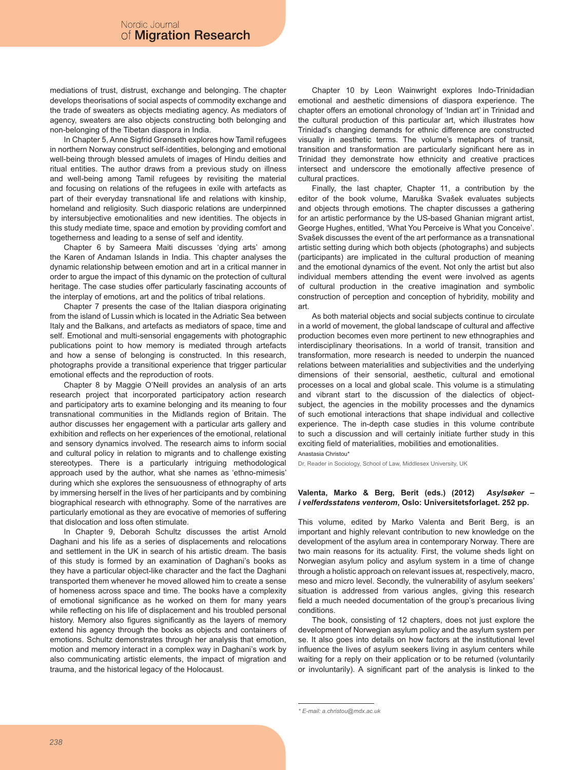mediations of trust, distrust, exchange and belonging. The chapter develops theorisations of social aspects of commodity exchange and the trade of sweaters as objects mediating agency. As mediators of agency, sweaters are also objects constructing both belonging and non-belonging of the Tibetan diaspora in India.

In Chapter 5, Anne Sigfrid Grønseth explores how Tamil refugees in northern Norway construct self-identities, belonging and emotional well-being through blessed amulets of images of Hindu deities and ritual entities. The author draws from a previous study on illness and well-being among Tamil refugees by revisiting the material and focusing on relations of the refugees in exile with artefacts as part of their everyday transnational life and relations with kinship, homeland and religiosity. Such diasporic relations are underpinned by intersubjective emotionalities and new identities. The objects in this study mediate time, space and emotion by providing comfort and togetherness and leading to a sense of self and identity.

Chapter 6 by Sameera Maiti discusses 'dying arts' among the Karen of Andaman Islands in India. This chapter analyses the dynamic relationship between emotion and art in a critical manner in order to argue the impact of this dynamic on the protection of cultural heritage. The case studies offer particularly fascinating accounts of the interplay of emotions, art and the politics of tribal relations.

Chapter 7 presents the case of the Italian diaspora originating from the island of Lussin which is located in the Adriatic Sea between Italy and the Balkans, and artefacts as mediators of space, time and self. Emotional and multi-sensorial engagements with photographic publications point to how memory is mediated through artefacts and how a sense of belonging is constructed. In this research, photographs provide a transitional experience that trigger particular emotional effects and the reproduction of roots.

Chapter 8 by Maggie O'Neill provides an analysis of an arts research project that incorporated participatory action research and participatory arts to examine belonging and its meaning to four transnational communities in the Midlands region of Britain. The author discusses her engagement with a particular arts gallery and exhibition and reflects on her experiences of the emotional, relational and sensory dynamics involved. The research aims to inform social and cultural policy in relation to migrants and to challenge existing stereotypes. There is a particularly intriguing methodological approach used by the author, what she names as 'ethno-mimesis' during which she explores the sensuousness of ethnography of arts by immersing herself in the lives of her participants and by combining biographical research with ethnography. Some of the narratives are particularly emotional as they are evocative of memories of suffering that dislocation and loss often stimulate.

In Chapter 9, Deborah Schultz discusses the artist Arnold Daghani and his life as a series of displacements and relocations and settlement in the UK in search of his artistic dream. The basis of this study is formed by an examination of Daghani's books as they have a particular object-like character and the fact the Daghani transported them whenever he moved allowed him to create a sense of homeness across space and time. The books have a complexity of emotional significance as he worked on them for many years while reflecting on his life of displacement and his troubled personal history. Memory also figures significantly as the layers of memory extend his agency through the books as objects and containers of emotions. Schultz demonstrates through her analysis that emotion, motion and memory interact in a complex way in Daghani's work by also communicating artistic elements, the impact of migration and trauma, and the historical legacy of the Holocaust.

Chapter 10 by Leon Wainwright explores Indo-Trinidadian emotional and aesthetic dimensions of diaspora experience. The chapter offers an emotional chronology of 'Indian art' in Trinidad and the cultural production of this particular art, which illustrates how Trinidad's changing demands for ethnic difference are constructed visually in aesthetic terms. The volume's metaphors of transit, transition and transformation are particularly significant here as in Trinidad they demonstrate how ethnicity and creative practices intersect and underscore the emotionally affective presence of cultural practices.

Finally, the last chapter, Chapter 11, a contribution by the editor of the book volume, Maruška Svašek evaluates subjects and objects through emotions. The chapter discusses a gathering for an artistic performance by the US-based Ghanian migrant artist, George Hughes, entitled, 'What You Perceive is What you Conceive'. Svašek discusses the event of the art performance as a transnational artistic setting during which both objects (photographs) and subjects (participants) are implicated in the cultural production of meaning and the emotional dynamics of the event. Not only the artist but also individual members attending the event were involved as agents of cultural production in the creative imagination and symbolic construction of perception and conception of hybridity, mobility and art.

As both material objects and social subjects continue to circulate in a world of movement, the global landscape of cultural and affective production becomes even more pertinent to new ethnographies and interdisciplinary theorisations. In a world of transit, transition and transformation, more research is needed to underpin the nuanced relations between materialities and subjectivities and the underlying dimensions of their sensorial, aesthetic, cultural and emotional processes on a local and global scale. This volume is a stimulating and vibrant start to the discussion of the dialectics of objectsubject, the agencies in the mobility processes and the dynamics of such emotional interactions that shape individual and collective experience. The in-depth case studies in this volume contribute to such a discussion and will certainly initiate further study in this exciting field of materialities, mobilities and emotionalities.

Anastasia Christou\*

Dr, Reader in Sociology, School of Law, Middlesex University, UK

## **Valenta, Marko & Berg, Berit (eds.) (2012)** *Asylsøker – i velferdsstatens venterom***, Oslo: Universitetsforlaget. 252 pp.**

This volume, edited by Marko Valenta and Berit Berg, is an important and highly relevant contribution to new knowledge on the development of the asylum area in contemporary Norway. There are two main reasons for its actuality. First, the volume sheds light on Norwegian asylum policy and asylum system in a time of change through a holistic approach on relevant issues at, respectively, macro, meso and micro level. Secondly, the vulnerability of asylum seekers' situation is addressed from various angles, giving this research field a much needed documentation of the group's precarious living conditions.

The book, consisting of 12 chapters, does not just explore the development of Norwegian asylum policy and the asylum system per se. It also goes into details on how factors at the institutional level influence the lives of asylum seekers living in asylum centers while waiting for a reply on their application or to be returned (voluntarily or involuntarily). A significant part of the analysis is linked to the

*<sup>\*</sup> E-mail: a.christou@mdx.ac.uk*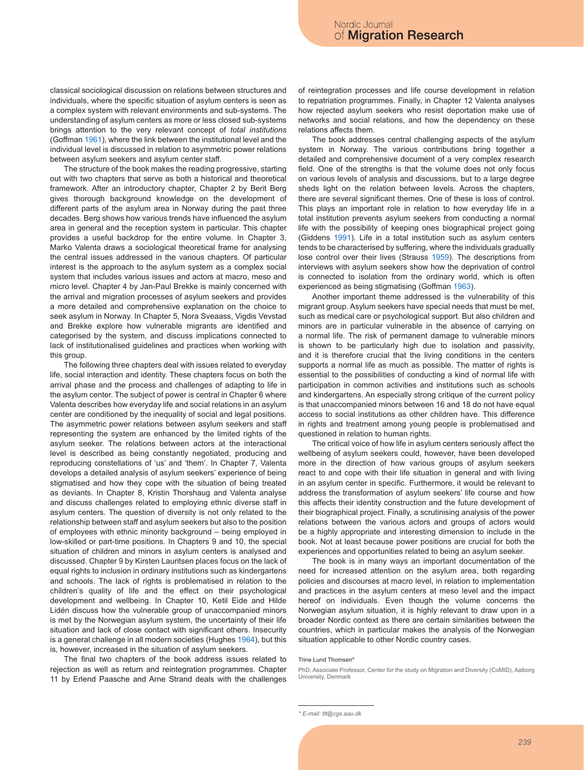classical sociological discussion on relations between structures and individuals, where the specific situation of asylum centers is seen as a complex system with relevant environments and sub-systems. The understanding of asylum centers as more or less closed sub-systems brings attention to the very relevant concept of *total institutions* (Goffman 1961), where the link between the institutional level and the individual level is discussed in relation to asymmetric power relations between asylum seekers and asylum center staff.

The structure of the book makes the reading progressive, starting out with two chapters that serve as both a historical and theoretical framework. After an introductory chapter, Chapter 2 by Berit Berg gives thorough background knowledge on the development of different parts of the asylum area in Norway during the past three decades. Berg shows how various trends have influenced the asylum area in general and the reception system in particular. This chapter provides a useful backdrop for the entire volume. In Chapter 3, Marko Valenta draws a sociological theoretical frame for analysing the central issues addressed in the various chapters. Of particular interest is the approach to the asylum system as a complex social system that includes various issues and actors at macro, meso and micro level. Chapter 4 by Jan-Paul Brekke is mainly concerned with the arrival and migration processes of asylum seekers and provides a more detailed and comprehensive explanation on the choice to seek asylum in Norway. In Chapter 5, Nora Sveaass, Vigdis Vevstad and Brekke explore how vulnerable migrants are identified and categorised by the system, and discuss implications connected to lack of institutionalised guidelines and practices when working with this group.

The following three chapters deal with issues related to everyday life, social interaction and identity. These chapters focus on both the arrival phase and the process and challenges of adapting to life in the asylum center. The subject of power is central in Chapter 6 where Valenta describes how everyday life and social relations in an asylum center are conditioned by the inequality of social and legal positions. The asymmetric power relations between asylum seekers and staff representing the system are enhanced by the limited rights of the asylum seeker. The relations between actors at the interactional level is described as being constantly negotiated, producing and reproducing constellations of 'us' and 'them'. In Chapter 7, Valenta develops a detailed analysis of asylum seekers' experience of being stigmatised and how they cope with the situation of being treated as deviants. In Chapter 8, Kristin Thorshaug and Valenta analyse and discuss challenges related to employing ethnic diverse staff in asylum centers. The question of diversity is not only related to the relationship between staff and asylum seekers but also to the position of employees with ethnic minority background – being employed in low-skilled or part-time positions. In Chapters 9 and 10, the special situation of children and minors in asylum centers is analysed and discussed. Chapter 9 by Kirsten Lauritsen places focus on the lack of equal rights to inclusion in ordinary institutions such as kindergartens and schools. The lack of rights is problematised in relation to the children's quality of life and the effect on their psychological development and wellbeing. In Chapter 10, Ketil Eide and Hilde Lidén discuss how the vulnerable group of unaccompanied minors is met by the Norwegian asylum system, the uncertainty of their life situation and lack of close contact with significant others. Insecurity is a general challenge in all modern societies (Hughes 1964), but this is, however, increased in the situation of asylum seekers.

The final two chapters of the book address issues related to rejection as well as return and reintegration programmes. Chapter 11 by Erlend Paasche and Arne Strand deals with the challenges of reintegration processes and life course development in relation to repatriation programmes. Finally, in Chapter 12 Valenta analyses how rejected asylum seekers who resist deportation make use of networks and social relations, and how the dependency on these relations affects them.

The book addresses central challenging aspects of the asylum system in Norway. The various contributions bring together a detailed and comprehensive document of a very complex research field. One of the strengths is that the volume does not only focus on various levels of analysis and discussions, but to a large degree sheds light on the relation between levels. Across the chapters, there are several significant themes. One of these is loss of control. This plays an important role in relation to how everyday life in a total institution prevents asylum seekers from conducting a normal life with the possibility of keeping ones biographical project going (Giddens 1991). Life in a total institution such as asylum centers tends to be characterised by suffering, where the individuals gradually lose control over their lives (Strauss 1959). The descriptions from interviews with asylum seekers show how the deprivation of control is connected to isolation from the ordinary world, which is often experienced as being stigmatising (Goffman 1963).

Another important theme addressed is the vulnerability of this migrant group. Asylum seekers have special needs that must be met, such as medical care or psychological support. But also children and minors are in particular vulnerable in the absence of carrying on a normal life. The risk of permanent damage to vulnerable minors is shown to be particularly high due to isolation and passivity, and it is therefore crucial that the living conditions in the centers supports a normal life as much as possible. The matter of rights is essential to the possibilities of conducting a kind of normal life with participation in common activities and institutions such as schools and kindergartens. An especially strong critique of the current policy is that unaccompanied minors between 16 and 18 do not have equal access to social institutions as other children have. This difference in rights and treatment among young people is problematised and questioned in relation to human rights.

The critical voice of how life in asylum centers seriously affect the wellbeing of asylum seekers could, however, have been developed more in the direction of how various groups of asylum seekers react to and cope with their life situation in general and with living in an asylum center in specific. Furthermore, it would be relevant to address the transformation of asylum seekers' life course and how this affects their identity construction and the future development of their biographical project. Finally, a scrutinising analysis of the power relations between the various actors and groups of actors would be a highly appropriate and interesting dimension to include in the book. Not at least because power positions are crucial for both the experiences and opportunities related to being an asylum seeker.

The book is in many ways an important documentation of the need for increased attention on the asylum area, both regarding policies and discourses at macro level, in relation to implementation and practices in the asylum centers at meso level and the impact hereof on individuals. Even though the volume concerns the Norwegian asylum situation, it is highly relevant to draw upon in a broader Nordic context as there are certain similarities between the countries, which in particular makes the analysis of the Norwegian situation applicable to other Nordic country cases.

### Trine Lund Thomsen\*

PhD, Associate Professor, Center for the study on Migration and Diversity (CoMID), Aalborg University, Denmark

*<sup>\*</sup> E-mail: tlt@cgs.aau.dk*